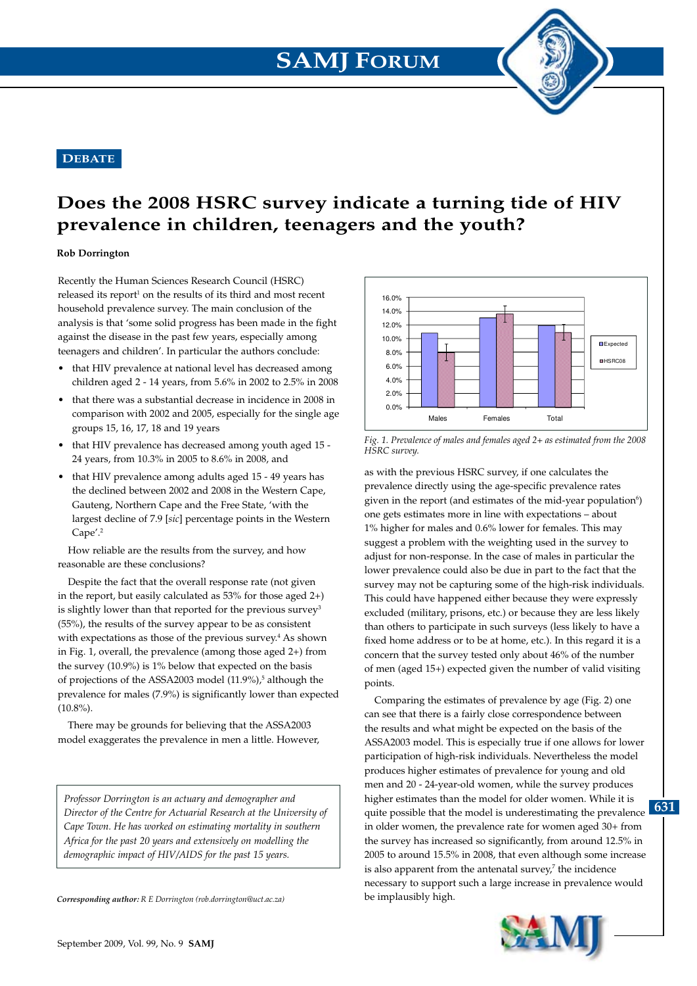## **DEBATE**

## **Does the 2008 HSRC survey indicate a turning tide of HIV prevalence in children, teenagers and the youth?**

## **Rob Dorrington**

Recently the Human Sciences Research Council (HSRC)  $released$  its report<sup>1</sup> on the results of its third and most recent household prevalence survey. The main conclusion of the analysis is that 'some solid progress has been made in the fight against the disease in the past few years, especially among teenagers and children'. In particular the authors conclude:

- that HIV prevalence at national level has decreased among children aged 2 - 14 years, from 5.6% in 2002 to 2.5% in 2008
- that there was a substantial decrease in incidence in 2008 in comparison with 2002 and 2005, especially for the single age groups 15, 16, 17, 18 and 19 years
- that HIV prevalence has decreased among youth aged 15 24 years, from 10.3% in 2005 to 8.6% in 2008, and
- that HIV prevalence among adults aged 15 49 years has the declined between 2002 and 2008 in the Western Cape, Gauteng, Northern Cape and the Free State, 'with the largest decline of 7.9 [*sic*] percentage points in the Western Cape'.2

How reliable are the results from the survey, and how reasonable are these conclusions?

Despite the fact that the overall response rate (not given in the report, but easily calculated as 53% for those aged 2+) is slightly lower than that reported for the previous survey<sup>3</sup> (55%), the results of the survey appear to be as consistent with expectations as those of the previous survey.<sup>4</sup> As shown in Fig. 1, overall, the prevalence (among those aged 2+) from the survey (10.9%) is 1% below that expected on the basis of projections of the ASSA2003 model (11.9%),<sup>5</sup> although the prevalence for males (7.9%) is significantly lower than expected  $(10.8\%)$ .

There may be grounds for believing that the ASSA2003 model exaggerates the prevalence in men a little. However,

*Professor Dorrington is an actuary and demographer and Director of the Centre for Actuarial Research at the University of Cape Town. He has worked on estimating mortality in southern Africa for the past 20 years and extensively on modelling the demographic impact of HIV/AIDS for the past 15 years.*

*Corresponding author: R E Dorrington (rob.dorrington@uct.ac.za)*



*Fig. 1. Prevalence of males and females aged 2+ as estimated from the 2008 HSRC survey.*

as with the previous HSRC survey, if one calculates the prevalence directly using the age-specific prevalence rates given in the report (and estimates of the mid-year population<sup>6</sup>) one gets estimates more in line with expectations – about 1% higher for males and 0.6% lower for females. This may suggest a problem with the weighting used in the survey to adjust for non-response. In the case of males in particular the lower prevalence could also be due in part to the fact that the survey may not be capturing some of the high-risk individuals. This could have happened either because they were expressly excluded (military, prisons, etc.) or because they are less likely than others to participate in such surveys (less likely to have a fixed home address or to be at home, etc.). In this regard it is a concern that the survey tested only about 46% of the number of men (aged 15+) expected given the number of valid visiting points.

quite possible that the model is underestimating the prevalence **631** Comparing the estimates of prevalence by age (Fig. 2) one can see that there is a fairly close correspondence between the results and what might be expected on the basis of the ASSA2003 model. This is especially true if one allows for lower participation of high-risk individuals. Nevertheless the model produces higher estimates of prevalence for young and old men and 20 - 24-year-old women, while the survey produces higher estimates than the model for older women. While it is in older women, the prevalence rate for women aged 30+ from the survey has increased so significantly, from around 12.5% in 2005 to around 15.5% in 2008, that even although some increase is also apparent from the antenatal survey, $7$  the incidence necessary to support such a large increase in prevalence would be implausibly high.

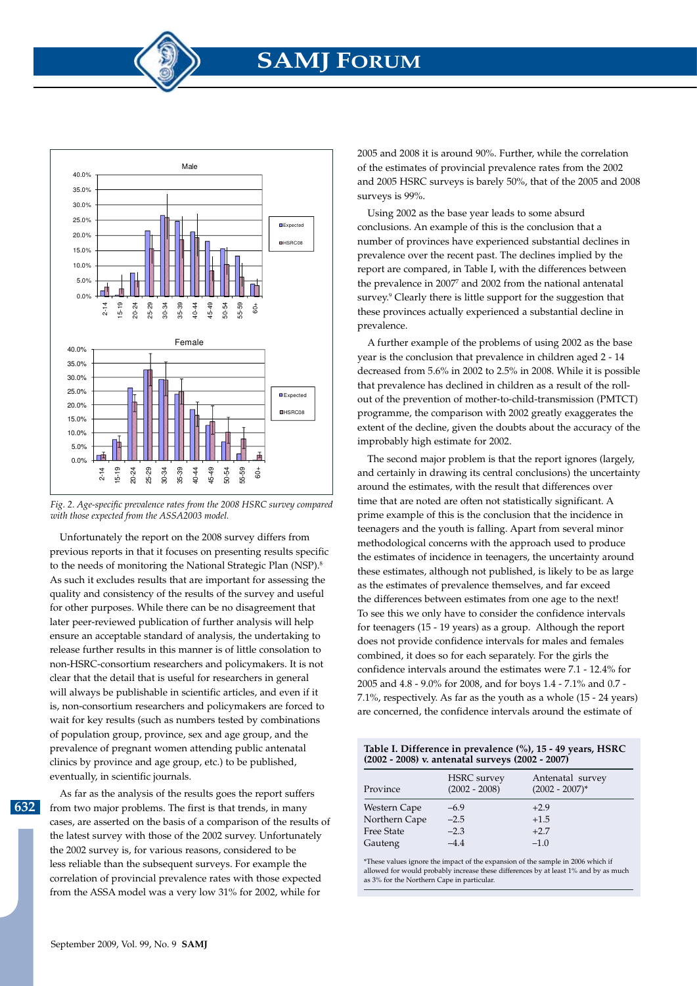



Unfortunately the report on the 2008 survey differs from previous reports in that it focuses on presenting results specific to the needs of monitoring the National Strategic Plan (NSP).<sup>8</sup> As such it excludes results that are important for assessing the quality and consistency of the results of the survey and useful for other purposes. While there can be no disagreement that later peer-reviewed publication of further analysis will help ensure an acceptable standard of analysis, the undertaking to release further results in this manner is of little consolation to non-HSRC-consortium researchers and policymakers. It is not clear that the detail that is useful for researchers in general will always be publishable in scientific articles, and even if it is, non-consortium researchers and policymakers are forced to wait for key results (such as numbers tested by combinations of population group, province, sex and age group, and the prevalence of pregnant women attending public antenatal clinics by province and age group, etc.) to be published, eventually, in scientific journals.

**632**

As far as the analysis of the results goes the report suffers from two major problems. The first is that trends, in many cases, are asserted on the basis of a comparison of the results of the latest survey with those of the 2002 survey. Unfortunately the 2002 survey is, for various reasons, considered to be less reliable than the subsequent surveys. For example the correlation of provincial prevalence rates with those expected from the ASSA model was a very low 31% for 2002, while for

2005 and 2008 it is around 90%. Further, while the correlation of the estimates of provincial prevalence rates from the 2002 and 2005 HSRC surveys is barely 50%, that of the 2005 and 2008 surveys is 99%.

Using 2002 as the base year leads to some absurd conclusions. An example of this is the conclusion that a number of provinces have experienced substantial declines in prevalence over the recent past. The declines implied by the report are compared, in Table I, with the differences between the prevalence in 2007<sup>7</sup> and 2002 from the national antenatal survey.<sup>9</sup> Clearly there is little support for the suggestion that these provinces actually experienced a substantial decline in prevalence.

A further example of the problems of using 2002 as the base year is the conclusion that prevalence in children aged 2 - 14 decreased from 5.6% in 2002 to 2.5% in 2008. While it is possible that prevalence has declined in children as a result of the rollout of the prevention of mother-to-child-transmission (PMTCT) programme, the comparison with 2002 greatly exaggerates the extent of the decline, given the doubts about the accuracy of the improbably high estimate for 2002.

The second major problem is that the report ignores (largely, and certainly in drawing its central conclusions) the uncertainty around the estimates, with the result that differences over time that are noted are often not statistically significant. A prime example of this is the conclusion that the incidence in teenagers and the youth is falling. Apart from several minor methodological concerns with the approach used to produce the estimates of incidence in teenagers, the uncertainty around these estimates, although not published, is likely to be as large as the estimates of prevalence themselves, and far exceed the differences between estimates from one age to the next! To see this we only have to consider the confidence intervals for teenagers (15 - 19 years) as a group. Although the report does not provide confidence intervals for males and females combined, it does so for each separately. For the girls the confidence intervals around the estimates were 7.1 - 12.4% for 2005 and 4.8 - 9.0% for 2008, and for boys 1.4 - 7.1% and 0.7 - 7.1%, respectively. As far as the youth as a whole (15 - 24 years) are concerned, the confidence intervals around the estimate of

| Table I. Difference in prevalence (%), 15 - 49 years, HSRC |  |
|------------------------------------------------------------|--|
| (2002 - 2008) v. antenatal surveys (2002 - 2007)           |  |

| Province          | <b>HSRC</b> survey<br>$(2002 - 2008)$ | Antenatal survey<br>$(2002 - 2007)^*$ |
|-------------------|---------------------------------------|---------------------------------------|
| Western Cape      | $-6.9$                                | $+2.9$                                |
| Northern Cape     | $-2.5$                                | $+1.5$                                |
| <b>Free State</b> | $-2.3$                                | $+2.7$                                |
| Gauteng           | $-4.4$                                | $-1.0$                                |

\*These values ignore the impact of the expansion of the sample in 2006 which if allowed for would probably increase these differences by at least 1% and by as much as 3% for the Northern Cape in particular.